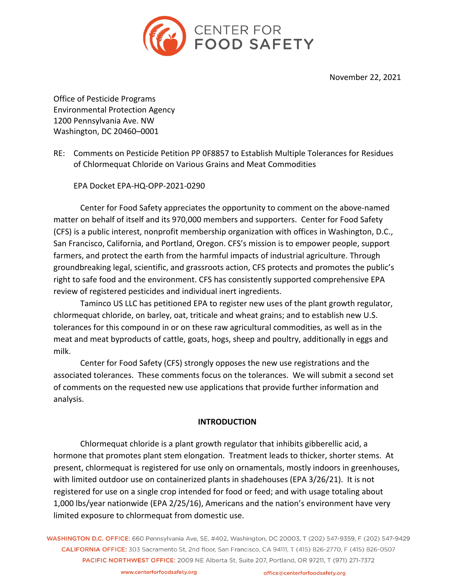

November 22, 2021

Office of Pesticide Programs Environmental Protection Agency 1200 Pennsylvania Ave. NW Washington, DC 20460–0001

RE: Comments on Pesticide Petition PP 0F8857 to Establish Multiple Tolerances for Residues of Chlormequat Chloride on Various Grains and Meat Commodities

EPA Docket EPA-HQ-OPP-2021-0290

Center for Food Safety appreciates the opportunity to comment on the above-named matter on behalf of itself and its 970,000 members and supporters. Center for Food Safety (CFS) is a public interest, nonprofit membership organization with offices in Washington, D.C., San Francisco, California, and Portland, Oregon. CFS's mission is to empower people, support farmers, and protect the earth from the harmful impacts of industrial agriculture. Through groundbreaking legal, scientific, and grassroots action, CFS protects and promotes the public's right to safe food and the environment. CFS has consistently supported comprehensive EPA review of registered pesticides and individual inert ingredients.

Taminco US LLC has petitioned EPA to register new uses of the plant growth regulator, chlormequat chloride, on barley, oat, triticale and wheat grains; and to establish new U.S. tolerances for this compound in or on these raw agricultural commodities, as well as in the meat and meat byproducts of cattle, goats, hogs, sheep and poultry, additionally in eggs and milk.

Center for Food Safety (CFS) strongly opposes the new use registrations and the associated tolerances. These comments focus on the tolerances. We will submit a second set of comments on the requested new use applications that provide further information and analysis.

## **INTRODUCTION**

Chlormequat chloride is a plant growth regulator that inhibits gibberellic acid, a hormone that promotes plant stem elongation. Treatment leads to thicker, shorter stems. At present, chlormequat is registered for use only on ornamentals, mostly indoors in greenhouses, with limited outdoor use on containerized plants in shadehouses (EPA 3/26/21). It is not registered for use on a single crop intended for food or feed; and with usage totaling about 1,000 lbs/year nationwide (EPA 2/25/16), Americans and the nation's environment have very limited exposure to chlormequat from domestic use.

WASHINGTON D.C. OFFICE: 660 Pennsylvania Ave, SE, #402, Washington, DC 20003, T (202) 547-9359, F (202) 547-9429 CALIFORNIA OFFICE: 303 Sacramento St. 2nd floor. San Francisco, CA 94111. T (415) 826-2770. F (415) 826-0507 PACIFIC NORTHWEST OFFICE: 2009 NE Alberta St, Suite 207, Portland, OR 97211, T (971) 271-7372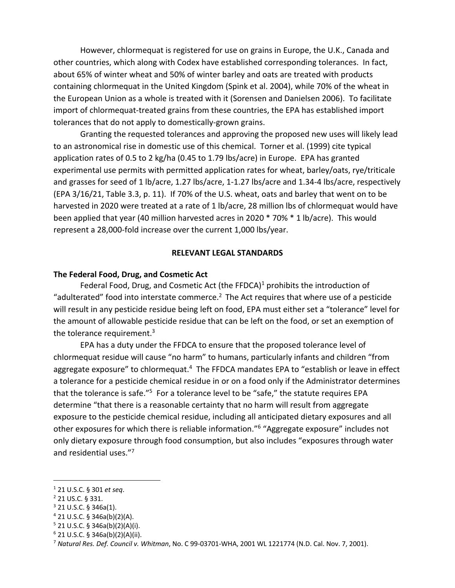However, chlormequat is registered for use on grains in Europe, the U.K., Canada and other countries, which along with Codex have established corresponding tolerances. In fact, about 65% of winter wheat and 50% of winter barley and oats are treated with products containing chlormequat in the United Kingdom (Spink et al. 2004), while 70% of the wheat in the European Union as a whole is treated with it (Sorensen and Danielsen 2006). To facilitate import of chlormequat-treated grains from these countries, the EPA has established import tolerances that do not apply to domestically-grown grains.

Granting the requested tolerances and approving the proposed new uses will likely lead to an astronomical rise in domestic use of this chemical. Torner et al. (1999) cite typical application rates of 0.5 to 2 kg/ha (0.45 to 1.79 lbs/acre) in Europe. EPA has granted experimental use permits with permitted application rates for wheat, barley/oats, rye/triticale and grasses for seed of 1 lb/acre, 1.27 lbs/acre, 1-1.27 lbs/acre and 1.34-4 lbs/acre, respectively (EPA 3/16/21, Table 3.3, p. 11). If 70% of the U.S. wheat, oats and barley that went on to be harvested in 2020 were treated at a rate of 1 lb/acre, 28 million lbs of chlormequat would have been applied that year (40 million harvested acres in 2020 \* 70% \* 1 lb/acre). This would represent a 28,000-fold increase over the current 1,000 lbs/year.

#### **RELEVANT LEGAL STANDARDS**

### **The Federal Food, Drug, and Cosmetic Act**

Federal Food, Drug, and Cosmetic Act (the FFDCA)<sup>1</sup> prohibits the introduction of "adulterated" food into interstate commerce.<sup>2</sup> The Act requires that where use of a pesticide will result in any pesticide residue being left on food, EPA must either set a "tolerance" level for the amount of allowable pesticide residue that can be left on the food, or set an exemption of the tolerance requirement.<sup>3</sup>

EPA has a duty under the FFDCA to ensure that the proposed tolerance level of chlormequat residue will cause "no harm" to humans, particularly infants and children "from aggregate exposure" to chlormequat.<sup>4</sup> The FFDCA mandates EPA to "establish or leave in effect a tolerance for a pesticide chemical residue in or on a food only if the Administrator determines that the tolerance is safe."<sup>5</sup> For a tolerance level to be "safe," the statute requires EPA determine "that there is a reasonable certainty that no harm will result from aggregate exposure to the pesticide chemical residue, including all anticipated dietary exposures and all other exposures for which there is reliable information."6 "Aggregate exposure" includes not only dietary exposure through food consumption, but also includes "exposures through water and residential uses."7

<sup>1</sup> 21 U.S.C. § 301 *et seq*.

<sup>2</sup> 21 US.C. § 331.

 $3$  21 U.S.C. § 346a(1).

 $4$  21 U.S.C. § 346a(b)(2)(A).

 $5$  21 U.S.C. § 346a(b)(2)(A)(i).

 $6$  21 U.S.C. § 346a(b)(2)(A)(ii).

<sup>7</sup> *Natural Res. Def. Council v. Whitman*, No. C 99-03701-WHA, 2001 WL 1221774 (N.D. Cal. Nov. 7, 2001).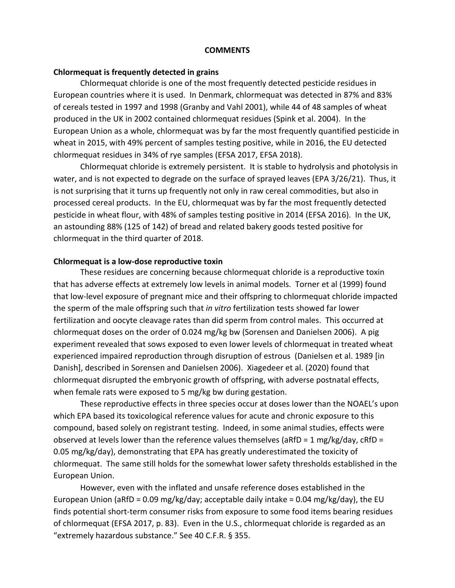#### **COMMENTS**

#### **Chlormequat is frequently detected in grains**

Chlormequat chloride is one of the most frequently detected pesticide residues in European countries where it is used. In Denmark, chlormequat was detected in 87% and 83% of cereals tested in 1997 and 1998 (Granby and Vahl 2001), while 44 of 48 samples of wheat produced in the UK in 2002 contained chlormequat residues (Spink et al. 2004). In the European Union as a whole, chlormequat was by far the most frequently quantified pesticide in wheat in 2015, with 49% percent of samples testing positive, while in 2016, the EU detected chlormequat residues in 34% of rye samples (EFSA 2017, EFSA 2018).

Chlormequat chloride is extremely persistent. It is stable to hydrolysis and photolysis in water, and is not expected to degrade on the surface of sprayed leaves (EPA 3/26/21). Thus, it is not surprising that it turns up frequently not only in raw cereal commodities, but also in processed cereal products. In the EU, chlormequat was by far the most frequently detected pesticide in wheat flour, with 48% of samples testing positive in 2014 (EFSA 2016). In the UK, an astounding 88% (125 of 142) of bread and related bakery goods tested positive for chlormequat in the third quarter of 2018.

#### **Chlormequat is a low-dose reproductive toxin**

These residues are concerning because chlormequat chloride is a reproductive toxin that has adverse effects at extremely low levels in animal models. Torner et al (1999) found that low-level exposure of pregnant mice and their offspring to chlormequat chloride impacted the sperm of the male offspring such that *in vitro* fertilization tests showed far lower fertilization and oocyte cleavage rates than did sperm from control males. This occurred at chlormequat doses on the order of 0.024 mg/kg bw (Sorensen and Danielsen 2006). A pig experiment revealed that sows exposed to even lower levels of chlormequat in treated wheat experienced impaired reproduction through disruption of estrous (Danielsen et al. 1989 [in Danish], described in Sorensen and Danielsen 2006). Xiagedeer et al. (2020) found that chlormequat disrupted the embryonic growth of offspring, with adverse postnatal effects, when female rats were exposed to 5 mg/kg bw during gestation.

These reproductive effects in three species occur at doses lower than the NOAEL's upon which EPA based its toxicological reference values for acute and chronic exposure to this compound, based solely on registrant testing. Indeed, in some animal studies, effects were observed at levels lower than the reference values themselves (aRfD =  $1 \text{ mg/kg/day}$ , cRfD = 0.05 mg/kg/day), demonstrating that EPA has greatly underestimated the toxicity of chlormequat. The same still holds for the somewhat lower safety thresholds established in the European Union.

However, even with the inflated and unsafe reference doses established in the European Union (aRfD = 0.09 mg/kg/day; acceptable daily intake = 0.04 mg/kg/day), the EU finds potential short-term consumer risks from exposure to some food items bearing residues of chlormequat (EFSA 2017, p. 83). Even in the U.S., chlormequat chloride is regarded as an "extremely hazardous substance." See 40 C.F.R. § 355.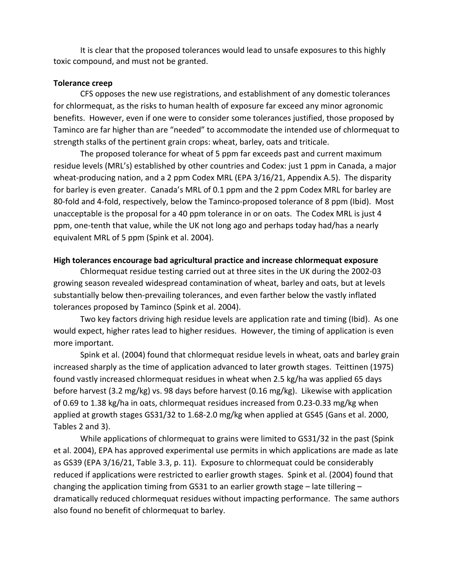It is clear that the proposed tolerances would lead to unsafe exposures to this highly toxic compound, and must not be granted.

### **Tolerance creep**

CFS opposes the new use registrations, and establishment of any domestic tolerances for chlormequat, as the risks to human health of exposure far exceed any minor agronomic benefits. However, even if one were to consider some tolerances justified, those proposed by Taminco are far higher than are "needed" to accommodate the intended use of chlormequat to strength stalks of the pertinent grain crops: wheat, barley, oats and triticale.

The proposed tolerance for wheat of 5 ppm far exceeds past and current maximum residue levels (MRL's) established by other countries and Codex: just 1 ppm in Canada, a major wheat-producing nation, and a 2 ppm Codex MRL (EPA 3/16/21, Appendix A.5). The disparity for barley is even greater. Canada's MRL of 0.1 ppm and the 2 ppm Codex MRL for barley are 80-fold and 4-fold, respectively, below the Taminco-proposed tolerance of 8 ppm (Ibid). Most unacceptable is the proposal for a 40 ppm tolerance in or on oats. The Codex MRL is just 4 ppm, one-tenth that value, while the UK not long ago and perhaps today had/has a nearly equivalent MRL of 5 ppm (Spink et al. 2004).

### **High tolerances encourage bad agricultural practice and increase chlormequat exposure**

Chlormequat residue testing carried out at three sites in the UK during the 2002-03 growing season revealed widespread contamination of wheat, barley and oats, but at levels substantially below then-prevailing tolerances, and even farther below the vastly inflated tolerances proposed by Taminco (Spink et al. 2004).

Two key factors driving high residue levels are application rate and timing (Ibid). As one would expect, higher rates lead to higher residues. However, the timing of application is even more important.

Spink et al. (2004) found that chlormequat residue levels in wheat, oats and barley grain increased sharply as the time of application advanced to later growth stages. Teittinen (1975) found vastly increased chlormequat residues in wheat when 2.5 kg/ha was applied 65 days before harvest (3.2 mg/kg) vs. 98 days before harvest (0.16 mg/kg). Likewise with application of 0.69 to 1.38 kg/ha in oats, chlormequat residues increased from 0.23-0.33 mg/kg when applied at growth stages GS31/32 to 1.68-2.0 mg/kg when applied at GS45 (Gans et al. 2000, Tables 2 and 3).

While applications of chlormequat to grains were limited to GS31/32 in the past (Spink et al. 2004), EPA has approved experimental use permits in which applications are made as late as GS39 (EPA 3/16/21, Table 3.3, p. 11). Exposure to chlormequat could be considerably reduced if applications were restricted to earlier growth stages. Spink et al. (2004) found that changing the application timing from GS31 to an earlier growth stage  $-$  late tillering  $$ dramatically reduced chlormequat residues without impacting performance. The same authors also found no benefit of chlormequat to barley.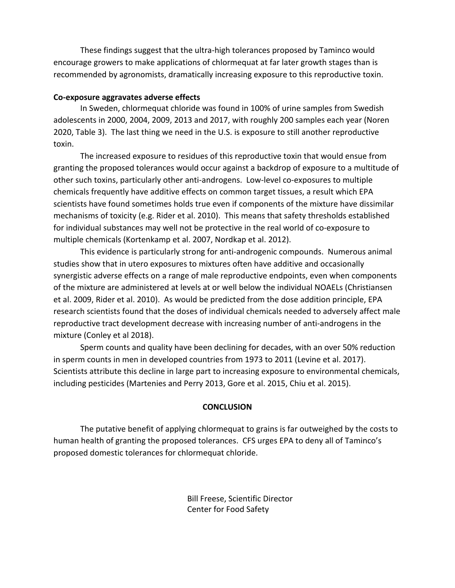These findings suggest that the ultra-high tolerances proposed by Taminco would encourage growers to make applications of chlormequat at far later growth stages than is recommended by agronomists, dramatically increasing exposure to this reproductive toxin.

## **Co-exposure aggravates adverse effects**

In Sweden, chlormequat chloride was found in 100% of urine samples from Swedish adolescents in 2000, 2004, 2009, 2013 and 2017, with roughly 200 samples each year (Noren 2020, Table 3). The last thing we need in the U.S. is exposure to still another reproductive toxin.

The increased exposure to residues of this reproductive toxin that would ensue from granting the proposed tolerances would occur against a backdrop of exposure to a multitude of other such toxins, particularly other anti-androgens. Low-level co-exposures to multiple chemicals frequently have additive effects on common target tissues, a result which EPA scientists have found sometimes holds true even if components of the mixture have dissimilar mechanisms of toxicity (e.g. Rider et al. 2010). This means that safety thresholds established for individual substances may well not be protective in the real world of co-exposure to multiple chemicals (Kortenkamp et al. 2007, Nordkap et al. 2012).

This evidence is particularly strong for anti-androgenic compounds. Numerous animal studies show that in utero exposures to mixtures often have additive and occasionally synergistic adverse effects on a range of male reproductive endpoints, even when components of the mixture are administered at levels at or well below the individual NOAELs (Christiansen et al. 2009, Rider et al. 2010). As would be predicted from the dose addition principle, EPA research scientists found that the doses of individual chemicals needed to adversely affect male reproductive tract development decrease with increasing number of anti-androgens in the mixture (Conley et al 2018).

Sperm counts and quality have been declining for decades, with an over 50% reduction in sperm counts in men in developed countries from 1973 to 2011 (Levine et al. 2017). Scientists attribute this decline in large part to increasing exposure to environmental chemicals, including pesticides (Martenies and Perry 2013, Gore et al. 2015, Chiu et al. 2015).

# **CONCLUSION**

The putative benefit of applying chlormequat to grains is far outweighed by the costs to human health of granting the proposed tolerances. CFS urges EPA to deny all of Taminco's proposed domestic tolerances for chlormequat chloride.

> Bill Freese, Scientific Director Center for Food Safety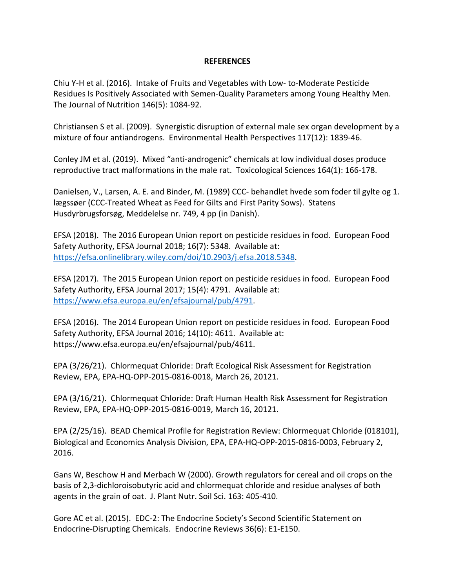### **REFERENCES**

Chiu Y-H et al. (2016). Intake of Fruits and Vegetables with Low- to-Moderate Pesticide Residues Is Positively Associated with Semen-Quality Parameters among Young Healthy Men. The Journal of Nutrition 146(5): 1084-92.

Christiansen S et al. (2009). Synergistic disruption of external male sex organ development by a mixture of four antiandrogens. Environmental Health Perspectives 117(12): 1839-46.

Conley JM et al. (2019). Mixed "anti-androgenic" chemicals at low individual doses produce reproductive tract malformations in the male rat. Toxicological Sciences 164(1): 166-178.

Danielsen, V., Larsen, A. E. and Binder, M. (1989) CCC- behandlet hvede som foder til gylte og 1. lægssøer (CCC-Treated Wheat as Feed for Gilts and First Parity Sows). Statens Husdyrbrugsforsøg, Meddelelse nr. 749, 4 pp (in Danish).

EFSA (2018). The 2016 European Union report on pesticide residues in food. European Food Safety Authority, EFSA Journal 2018; 16(7): 5348. Available at: https://efsa.onlinelibrary.wiley.com/doi/10.2903/j.efsa.2018.5348.

EFSA (2017). The 2015 European Union report on pesticide residues in food. European Food Safety Authority, EFSA Journal 2017; 15(4): 4791. Available at: https://www.efsa.europa.eu/en/efsajournal/pub/4791.

EFSA (2016). The 2014 European Union report on pesticide residues in food. European Food Safety Authority, EFSA Journal 2016; 14(10): 4611. Available at: https://www.efsa.europa.eu/en/efsajournal/pub/4611.

EPA (3/26/21). Chlormequat Chloride: Draft Ecological Risk Assessment for Registration Review, EPA, EPA-HQ-OPP-2015-0816-0018, March 26, 20121.

EPA (3/16/21). Chlormequat Chloride: Draft Human Health Risk Assessment for Registration Review, EPA, EPA-HQ-OPP-2015-0816-0019, March 16, 20121.

EPA (2/25/16). BEAD Chemical Profile for Registration Review: Chlormequat Chloride (018101), Biological and Economics Analysis Division, EPA, EPA-HQ-OPP-2015-0816-0003, February 2, 2016.

Gans W, Beschow H and Merbach W (2000). Growth regulators for cereal and oil crops on the basis of 2,3-dichloroisobutyric acid and chlormequat chloride and residue analyses of both agents in the grain of oat. J. Plant Nutr. Soil Sci. 163: 405-410.

Gore AC et al. (2015). EDC-2: The Endocrine Society's Second Scientific Statement on Endocrine-Disrupting Chemicals. Endocrine Reviews 36(6): E1-E150.